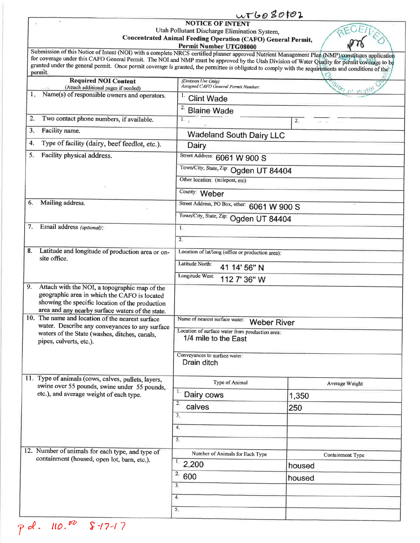|                                                                                                                                                                                                                                                                                                                              | uvto080102                                                                      |                  |  |  |  |  |
|------------------------------------------------------------------------------------------------------------------------------------------------------------------------------------------------------------------------------------------------------------------------------------------------------------------------------|---------------------------------------------------------------------------------|------------------|--|--|--|--|
| <b>NOTICE OF INTENT</b><br>Utah Pollutant Discharge Elimination System,<br>Concentrated Animal Feeding Operation (CAFO) General Permit,<br><b>Permit Number UTG08000</b><br>Submission of this Notice of Intent (NOI) with a complete NRCS certified planner approved Nutrient Management Plan (NMP) constitutes application |                                                                                 |                  |  |  |  |  |
| for coverage under this CAFO General Permit. The NOI and NMP must be approved by the Utah Division of Water Quality for permit coverage to be<br>granted under the general permit. Once permit coverage is granted, the permittee is obligated to comply with the requirements and conditions of the<br>permit.              |                                                                                 |                  |  |  |  |  |
| <b>Required NOI Content</b><br>(Attach additional pages if needed)                                                                                                                                                                                                                                                           | (Division Use Only)<br><b>SION DE W</b><br>Assigned CAFO General Permit Number: |                  |  |  |  |  |
| Name(s) of responsible owners and operators.<br>1.                                                                                                                                                                                                                                                                           | <b>Clint Wade</b>                                                               |                  |  |  |  |  |
|                                                                                                                                                                                                                                                                                                                              | 2.<br><b>Blaine Wade</b>                                                        |                  |  |  |  |  |
| Two contact phone numbers, if available.<br>2.                                                                                                                                                                                                                                                                               | 1.7<br>$2-$                                                                     |                  |  |  |  |  |
| Facility name.<br>3.                                                                                                                                                                                                                                                                                                         | <b>Wadeland South Dairy LLC</b>                                                 |                  |  |  |  |  |
| Type of facility (dairy, beef feedlot, etc.).<br>4.                                                                                                                                                                                                                                                                          | Dairy                                                                           |                  |  |  |  |  |
| Facility physical address.<br>5.                                                                                                                                                                                                                                                                                             | Street Address: 6061 W 900 S                                                    |                  |  |  |  |  |
|                                                                                                                                                                                                                                                                                                                              | Town/City, State, Zip: Ogden UT 84404                                           |                  |  |  |  |  |
|                                                                                                                                                                                                                                                                                                                              | Other location: (milepost, etc)                                                 |                  |  |  |  |  |
|                                                                                                                                                                                                                                                                                                                              | County: Weber                                                                   |                  |  |  |  |  |
| Mailing address.<br>6.                                                                                                                                                                                                                                                                                                       | Street Address, PO Box, other: 6061 W 900 S                                     |                  |  |  |  |  |
|                                                                                                                                                                                                                                                                                                                              | Town/City, State, Zip: Ogden UT 84404                                           |                  |  |  |  |  |
| Email address (optional):<br>7.                                                                                                                                                                                                                                                                                              | 1.                                                                              |                  |  |  |  |  |
|                                                                                                                                                                                                                                                                                                                              | 2.                                                                              |                  |  |  |  |  |
| Latitude and longitude of production area or on-<br>8.                                                                                                                                                                                                                                                                       | Location of lat/long (office or production area):                               |                  |  |  |  |  |
| site office.                                                                                                                                                                                                                                                                                                                 | Latitude North:<br>41 14' 56" N                                                 |                  |  |  |  |  |
|                                                                                                                                                                                                                                                                                                                              | Longitude West:<br>112 7' 36" W                                                 |                  |  |  |  |  |
| 9.<br>Attach with the NOI, a topographic map of the<br>geographic area in which the CAFO is located<br>showing the specific location of the production<br>area and any nearby surface waters of the state.                                                                                                                   |                                                                                 |                  |  |  |  |  |
| 10. The name and location of the nearest surface                                                                                                                                                                                                                                                                             | Name of nearest surface water:<br><b>Weber River</b>                            |                  |  |  |  |  |
| water. Describe any conveyances to any surface<br>waters of the State (washes, ditches, canals,<br>pipes, culverts, etc.).                                                                                                                                                                                                   | Location of surface water from production area:<br>1/4 mile to the East         |                  |  |  |  |  |
|                                                                                                                                                                                                                                                                                                                              | Conveyances to surface water:<br>Drain ditch                                    |                  |  |  |  |  |
| 11. Type of animals (cows, calves, pullets, layers,                                                                                                                                                                                                                                                                          | Type of Animal                                                                  | Average Weight   |  |  |  |  |
| swine over 55 pounds, swine under 55 pounds,<br>etc.), and average weight of each type.                                                                                                                                                                                                                                      | 1.<br>Dairy cows                                                                | 1,350            |  |  |  |  |
|                                                                                                                                                                                                                                                                                                                              | 2.<br>calves                                                                    | 250              |  |  |  |  |
|                                                                                                                                                                                                                                                                                                                              | 3.                                                                              |                  |  |  |  |  |
|                                                                                                                                                                                                                                                                                                                              | 4.                                                                              |                  |  |  |  |  |
|                                                                                                                                                                                                                                                                                                                              | 5.                                                                              |                  |  |  |  |  |
| 12. Number of animals for each type, and type of                                                                                                                                                                                                                                                                             | Number of Animals for Each Type                                                 | Containment Type |  |  |  |  |
| containment (housed, open lot, barn, etc.).                                                                                                                                                                                                                                                                                  | 1.2,200                                                                         | housed           |  |  |  |  |
|                                                                                                                                                                                                                                                                                                                              | 2.<br>600                                                                       | housed           |  |  |  |  |
|                                                                                                                                                                                                                                                                                                                              | 3.                                                                              |                  |  |  |  |  |
|                                                                                                                                                                                                                                                                                                                              | 4.                                                                              |                  |  |  |  |  |
|                                                                                                                                                                                                                                                                                                                              | 5.                                                                              |                  |  |  |  |  |
|                                                                                                                                                                                                                                                                                                                              |                                                                                 |                  |  |  |  |  |